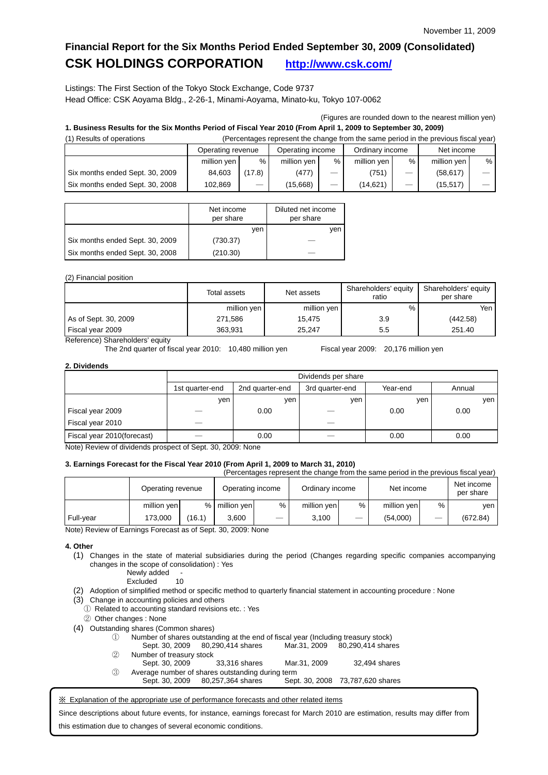## **Financial Report for the Six Months Period Ended September 30, 2009 (Consolidated) CSK HOLDINGS CORPORATION <http://www.csk.com/>**

Listings: The First Section of the Tokyo Stock Exchange, Code 9737 Head Office: CSK Aoyama Bldg., 2-26-1, Minami-Aoyama, Minato-ku, Tokyo 107-0062

(Figures are rounded down to the nearest million yen)

# **1. Business Results for the Six Months Period of Fiscal Year 2010 (From April 1, 2009 to September 30, 2009)**

| (1) Results of operations       | (Percentages represent the change from the same period in the previous fiscal year) |        |             |      |             |                          |             |   |
|---------------------------------|-------------------------------------------------------------------------------------|--------|-------------|------|-------------|--------------------------|-------------|---|
|                                 | Operating income<br>Ordinary income<br>Operating revenue                            |        |             |      |             |                          | Net income  |   |
|                                 | million yen                                                                         | %      | million yen | $\%$ | million ven | %                        | million yen | % |
| Six months ended Sept. 30, 2009 | 84.603                                                                              | (17.8) | (477)       |      | (751)       |                          | (58.617)    |   |
| Six months ended Sept. 30, 2008 | 102.869                                                                             |        | (15,668)    |      | (14.621)    | $\overline{\phantom{0}}$ | (15, 517)   |   |

|                                 | Net income<br>per share | Diluted net income<br>per share |
|---------------------------------|-------------------------|---------------------------------|
|                                 | ven                     | ven                             |
| Six months ended Sept. 30, 2009 | (730.37)                |                                 |
| Six months ended Sept. 30, 2008 | (210.30)                |                                 |

### (2) Financial position

|                      | Total assets | Net assets  | Shareholders' equity<br>ratio | Shareholders' equity<br>per share |  |
|----------------------|--------------|-------------|-------------------------------|-----------------------------------|--|
|                      | million yen  | million yen | %                             | Yen                               |  |
| As of Sept. 30, 2009 | 271,586      | 15.475      | 3.9                           | (442.58)                          |  |
| Fiscal year 2009     | 363,931      | 25.247      | 5.5                           | 251.40                            |  |

Reference) Shareholders' equity

The 2nd quarter of fiscal year 2010: 10,480 million yen Fiscal year 2009: 20,176 million yen

### **2. Dividends**

|                            |                 | Dividends per share |                 |          |        |  |  |
|----------------------------|-----------------|---------------------|-----------------|----------|--------|--|--|
|                            | 1st quarter-end | 2nd quarter-end     | 3rd quarter-end | Year-end | Annual |  |  |
|                            | ven             | ven                 | ven             | ven      | ven    |  |  |
| Fiscal year 2009           |                 | 0.00                |                 | 0.00     | 0.00   |  |  |
| Fiscal year 2010           |                 |                     |                 |          |        |  |  |
| Fiscal year 2010(forecast) |                 | 0.00                |                 | 0.00     | 0.00   |  |  |

Note) Review of dividends prospect of Sept. 30, 2009: None

## **3. Earnings Forecast for the Fiscal Year 2010 (From April 1, 2009 to March 31, 2010)**

(Percentages represent the change from the same period in the previous fiscal year)

|           | Operating revenue |        | Operating income |      | Ordinary income |   | Net income  |   | Net income<br>per share |
|-----------|-------------------|--------|------------------|------|-----------------|---|-------------|---|-------------------------|
|           | million yen       |        | % million yen    | $\%$ | million yen     | % | million yen | % | ven                     |
| Full-year | 173.000           | (16.1) | 3.600            |      | 3.100           |   | (54,000)    |   | (672.84)                |

Note) Review of Earnings Forecast as of Sept. 30, 2009: None

### **4. Other**

- (1) Changes in the state of material subsidiaries during the period (Changes regarding specific companies accompanying changes in the scope of consolidation) : Yes
	- Newly added -<br>Excluded 10 **Excluded**
- (2) Adoption of simplified method or specific method to quarterly financial statement in accounting procedure : None
- (3) Change in accounting policies and others
- ① Related to accounting standard revisions etc. : Yes
- ② Other changes : None
- (4) Outstanding shares (Common shares)
	- ① Number of shares outstanding at the end of fiscal year (Including treasury stock)
	- Sept. 30, 2009 80,290,414 shares Mar.31, 2009 80,290,414 shares ② Number of treasury stock Sept. 30, 2009 33,316 shares Mar.31, 2009 32,494 shares
	- ③ Average number of shares outstanding during term Sept. 30, 2009 80, 257, 364 shares

※ Explanation of the appropriate use of performance forecasts and other related items

Since descriptions about future events, for instance, earnings forecast for March 2010 are estimation, results may differ from this estimation due to changes of several economic conditions.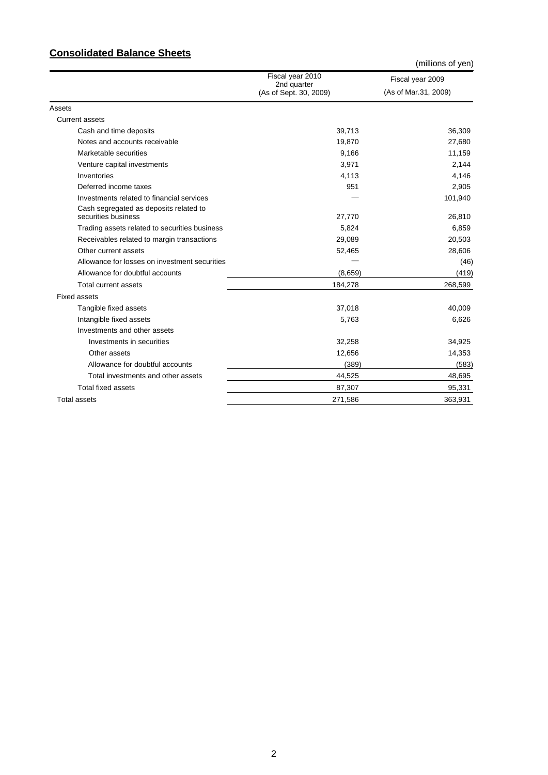## **Consolidated Balance Sheets**

|                                                               |                                                           | (millions of yen)                        |
|---------------------------------------------------------------|-----------------------------------------------------------|------------------------------------------|
|                                                               | Fiscal year 2010<br>2nd quarter<br>(As of Sept. 30, 2009) | Fiscal year 2009<br>(As of Mar.31, 2009) |
| Assets                                                        |                                                           |                                          |
| <b>Current assets</b>                                         |                                                           |                                          |
| Cash and time deposits                                        | 39,713                                                    | 36,309                                   |
| Notes and accounts receivable                                 | 19,870                                                    | 27,680                                   |
| Marketable securities                                         | 9,166                                                     | 11,159                                   |
| Venture capital investments                                   | 3,971                                                     | 2,144                                    |
| Inventories                                                   | 4,113                                                     | 4,146                                    |
| Deferred income taxes                                         | 951                                                       | 2,905                                    |
| Investments related to financial services                     |                                                           | 101,940                                  |
| Cash segregated as deposits related to<br>securities business | 27,770                                                    | 26,810                                   |
| Trading assets related to securities business                 | 5,824                                                     | 6,859                                    |
| Receivables related to margin transactions                    | 29,089                                                    | 20,503                                   |
| Other current assets                                          | 52,465                                                    | 28,606                                   |
| Allowance for losses on investment securities                 |                                                           | (46)                                     |
| Allowance for doubtful accounts                               | (8,659)                                                   | (419)                                    |
| Total current assets                                          | 184,278                                                   | 268,599                                  |
| <b>Fixed assets</b>                                           |                                                           |                                          |
| Tangible fixed assets                                         | 37,018                                                    | 40,009                                   |
| Intangible fixed assets                                       | 5,763                                                     | 6,626                                    |
| Investments and other assets                                  |                                                           |                                          |
| Investments in securities                                     | 32,258                                                    | 34,925                                   |
| Other assets                                                  | 12,656                                                    | 14,353                                   |
| Allowance for doubtful accounts                               | (389)                                                     | (583)                                    |
| Total investments and other assets                            | 44,525                                                    | 48,695                                   |
| <b>Total fixed assets</b>                                     | 87,307                                                    | 95,331                                   |
| <b>Total assets</b>                                           | 271,586                                                   | 363,931                                  |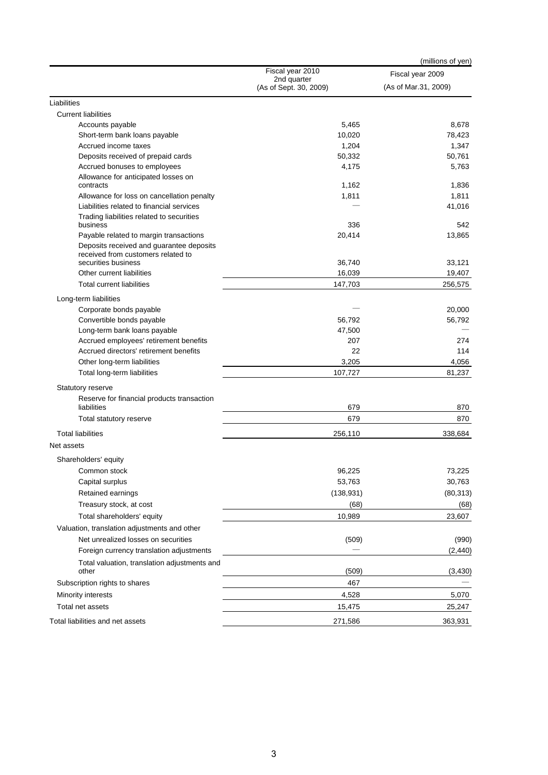| Fiscal year 2010<br>Fiscal year 2009<br>2nd quarter<br>(As of Mar.31, 2009)<br>(As of Sept. 30, 2009)<br>Liabilities<br><b>Current liabilities</b><br>Accounts payable<br>5,465<br>8,678<br>10,020<br>78,423<br>Short-term bank loans payable<br>Accrued income taxes<br>1,204<br>1,347<br>50,332<br>50,761<br>Deposits received of prepaid cards<br>Accrued bonuses to employees<br>4,175<br>5,763<br>Allowance for anticipated losses on<br>1,162<br>1,836<br>contracts<br>1,811<br>Allowance for loss on cancellation penalty<br>1,811<br>Liabilities related to financial services<br>41,016<br>Trading liabilities related to securities<br>business<br>336<br>542<br>Payable related to margin transactions<br>20,414<br>13,865<br>Deposits received and guarantee deposits<br>received from customers related to<br>securities business<br>36,740<br>33,121<br>Other current liabilities<br>16,039<br>19,407<br><b>Total current liabilities</b><br>147,703<br>256,575<br>Long-term liabilities<br>Corporate bonds payable<br>20,000<br>Convertible bonds payable<br>56,792<br>56,792<br>Long-term bank loans payable<br>47,500<br>Accrued employees' retirement benefits<br>207<br>274<br>Accrued directors' retirement benefits<br>22<br>114<br>3,205<br>Other long-term liabilities<br>4,056<br>107,727<br>81,237<br>Total long-term liabilities<br>Statutory reserve<br>Reserve for financial products transaction<br>liabilities<br>679<br>870<br>679<br>Total statutory reserve<br>870<br><b>Total liabilities</b><br>256,110<br>338,684<br>Shareholders' equity<br>Common stock<br>73,225<br>96,225<br>Capital surplus<br>53,763<br>30,763<br>Retained earnings<br>(138, 931)<br>Treasury stock, at cost<br>(68)<br>(68)<br>Total shareholders' equity<br>10,989<br>23,607<br>Valuation, translation adjustments and other<br>Net unrealized losses on securities<br>(509)<br>Foreign currency translation adjustments<br>(2,440)<br>Total valuation, translation adjustments and<br>other<br>(509)<br>(3, 430)<br>467<br>Subscription rights to shares<br>5,070<br>Minority interests<br>4,528<br>Total net assets<br>15,475<br>25,247<br>Total liabilities and net assets<br>363,931<br>271,586 |            | (millions of yen) |
|-----------------------------------------------------------------------------------------------------------------------------------------------------------------------------------------------------------------------------------------------------------------------------------------------------------------------------------------------------------------------------------------------------------------------------------------------------------------------------------------------------------------------------------------------------------------------------------------------------------------------------------------------------------------------------------------------------------------------------------------------------------------------------------------------------------------------------------------------------------------------------------------------------------------------------------------------------------------------------------------------------------------------------------------------------------------------------------------------------------------------------------------------------------------------------------------------------------------------------------------------------------------------------------------------------------------------------------------------------------------------------------------------------------------------------------------------------------------------------------------------------------------------------------------------------------------------------------------------------------------------------------------------------------------------------------------------------------------------------------------------------------------------------------------------------------------------------------------------------------------------------------------------------------------------------------------------------------------------------------------------------------------------------------------------------------------------------------------------------------------------------------------------------------------------------------------------------------------|------------|-------------------|
|                                                                                                                                                                                                                                                                                                                                                                                                                                                                                                                                                                                                                                                                                                                                                                                                                                                                                                                                                                                                                                                                                                                                                                                                                                                                                                                                                                                                                                                                                                                                                                                                                                                                                                                                                                                                                                                                                                                                                                                                                                                                                                                                                                                                                 |            |                   |
|                                                                                                                                                                                                                                                                                                                                                                                                                                                                                                                                                                                                                                                                                                                                                                                                                                                                                                                                                                                                                                                                                                                                                                                                                                                                                                                                                                                                                                                                                                                                                                                                                                                                                                                                                                                                                                                                                                                                                                                                                                                                                                                                                                                                                 |            |                   |
|                                                                                                                                                                                                                                                                                                                                                                                                                                                                                                                                                                                                                                                                                                                                                                                                                                                                                                                                                                                                                                                                                                                                                                                                                                                                                                                                                                                                                                                                                                                                                                                                                                                                                                                                                                                                                                                                                                                                                                                                                                                                                                                                                                                                                 |            |                   |
|                                                                                                                                                                                                                                                                                                                                                                                                                                                                                                                                                                                                                                                                                                                                                                                                                                                                                                                                                                                                                                                                                                                                                                                                                                                                                                                                                                                                                                                                                                                                                                                                                                                                                                                                                                                                                                                                                                                                                                                                                                                                                                                                                                                                                 |            |                   |
|                                                                                                                                                                                                                                                                                                                                                                                                                                                                                                                                                                                                                                                                                                                                                                                                                                                                                                                                                                                                                                                                                                                                                                                                                                                                                                                                                                                                                                                                                                                                                                                                                                                                                                                                                                                                                                                                                                                                                                                                                                                                                                                                                                                                                 |            |                   |
|                                                                                                                                                                                                                                                                                                                                                                                                                                                                                                                                                                                                                                                                                                                                                                                                                                                                                                                                                                                                                                                                                                                                                                                                                                                                                                                                                                                                                                                                                                                                                                                                                                                                                                                                                                                                                                                                                                                                                                                                                                                                                                                                                                                                                 |            |                   |
|                                                                                                                                                                                                                                                                                                                                                                                                                                                                                                                                                                                                                                                                                                                                                                                                                                                                                                                                                                                                                                                                                                                                                                                                                                                                                                                                                                                                                                                                                                                                                                                                                                                                                                                                                                                                                                                                                                                                                                                                                                                                                                                                                                                                                 |            |                   |
|                                                                                                                                                                                                                                                                                                                                                                                                                                                                                                                                                                                                                                                                                                                                                                                                                                                                                                                                                                                                                                                                                                                                                                                                                                                                                                                                                                                                                                                                                                                                                                                                                                                                                                                                                                                                                                                                                                                                                                                                                                                                                                                                                                                                                 |            |                   |
|                                                                                                                                                                                                                                                                                                                                                                                                                                                                                                                                                                                                                                                                                                                                                                                                                                                                                                                                                                                                                                                                                                                                                                                                                                                                                                                                                                                                                                                                                                                                                                                                                                                                                                                                                                                                                                                                                                                                                                                                                                                                                                                                                                                                                 |            |                   |
|                                                                                                                                                                                                                                                                                                                                                                                                                                                                                                                                                                                                                                                                                                                                                                                                                                                                                                                                                                                                                                                                                                                                                                                                                                                                                                                                                                                                                                                                                                                                                                                                                                                                                                                                                                                                                                                                                                                                                                                                                                                                                                                                                                                                                 |            |                   |
|                                                                                                                                                                                                                                                                                                                                                                                                                                                                                                                                                                                                                                                                                                                                                                                                                                                                                                                                                                                                                                                                                                                                                                                                                                                                                                                                                                                                                                                                                                                                                                                                                                                                                                                                                                                                                                                                                                                                                                                                                                                                                                                                                                                                                 |            |                   |
|                                                                                                                                                                                                                                                                                                                                                                                                                                                                                                                                                                                                                                                                                                                                                                                                                                                                                                                                                                                                                                                                                                                                                                                                                                                                                                                                                                                                                                                                                                                                                                                                                                                                                                                                                                                                                                                                                                                                                                                                                                                                                                                                                                                                                 |            |                   |
|                                                                                                                                                                                                                                                                                                                                                                                                                                                                                                                                                                                                                                                                                                                                                                                                                                                                                                                                                                                                                                                                                                                                                                                                                                                                                                                                                                                                                                                                                                                                                                                                                                                                                                                                                                                                                                                                                                                                                                                                                                                                                                                                                                                                                 |            |                   |
|                                                                                                                                                                                                                                                                                                                                                                                                                                                                                                                                                                                                                                                                                                                                                                                                                                                                                                                                                                                                                                                                                                                                                                                                                                                                                                                                                                                                                                                                                                                                                                                                                                                                                                                                                                                                                                                                                                                                                                                                                                                                                                                                                                                                                 |            |                   |
|                                                                                                                                                                                                                                                                                                                                                                                                                                                                                                                                                                                                                                                                                                                                                                                                                                                                                                                                                                                                                                                                                                                                                                                                                                                                                                                                                                                                                                                                                                                                                                                                                                                                                                                                                                                                                                                                                                                                                                                                                                                                                                                                                                                                                 |            |                   |
|                                                                                                                                                                                                                                                                                                                                                                                                                                                                                                                                                                                                                                                                                                                                                                                                                                                                                                                                                                                                                                                                                                                                                                                                                                                                                                                                                                                                                                                                                                                                                                                                                                                                                                                                                                                                                                                                                                                                                                                                                                                                                                                                                                                                                 |            |                   |
|                                                                                                                                                                                                                                                                                                                                                                                                                                                                                                                                                                                                                                                                                                                                                                                                                                                                                                                                                                                                                                                                                                                                                                                                                                                                                                                                                                                                                                                                                                                                                                                                                                                                                                                                                                                                                                                                                                                                                                                                                                                                                                                                                                                                                 |            |                   |
|                                                                                                                                                                                                                                                                                                                                                                                                                                                                                                                                                                                                                                                                                                                                                                                                                                                                                                                                                                                                                                                                                                                                                                                                                                                                                                                                                                                                                                                                                                                                                                                                                                                                                                                                                                                                                                                                                                                                                                                                                                                                                                                                                                                                                 |            |                   |
|                                                                                                                                                                                                                                                                                                                                                                                                                                                                                                                                                                                                                                                                                                                                                                                                                                                                                                                                                                                                                                                                                                                                                                                                                                                                                                                                                                                                                                                                                                                                                                                                                                                                                                                                                                                                                                                                                                                                                                                                                                                                                                                                                                                                                 |            |                   |
|                                                                                                                                                                                                                                                                                                                                                                                                                                                                                                                                                                                                                                                                                                                                                                                                                                                                                                                                                                                                                                                                                                                                                                                                                                                                                                                                                                                                                                                                                                                                                                                                                                                                                                                                                                                                                                                                                                                                                                                                                                                                                                                                                                                                                 |            |                   |
|                                                                                                                                                                                                                                                                                                                                                                                                                                                                                                                                                                                                                                                                                                                                                                                                                                                                                                                                                                                                                                                                                                                                                                                                                                                                                                                                                                                                                                                                                                                                                                                                                                                                                                                                                                                                                                                                                                                                                                                                                                                                                                                                                                                                                 |            |                   |
|                                                                                                                                                                                                                                                                                                                                                                                                                                                                                                                                                                                                                                                                                                                                                                                                                                                                                                                                                                                                                                                                                                                                                                                                                                                                                                                                                                                                                                                                                                                                                                                                                                                                                                                                                                                                                                                                                                                                                                                                                                                                                                                                                                                                                 |            |                   |
|                                                                                                                                                                                                                                                                                                                                                                                                                                                                                                                                                                                                                                                                                                                                                                                                                                                                                                                                                                                                                                                                                                                                                                                                                                                                                                                                                                                                                                                                                                                                                                                                                                                                                                                                                                                                                                                                                                                                                                                                                                                                                                                                                                                                                 |            |                   |
|                                                                                                                                                                                                                                                                                                                                                                                                                                                                                                                                                                                                                                                                                                                                                                                                                                                                                                                                                                                                                                                                                                                                                                                                                                                                                                                                                                                                                                                                                                                                                                                                                                                                                                                                                                                                                                                                                                                                                                                                                                                                                                                                                                                                                 |            |                   |
|                                                                                                                                                                                                                                                                                                                                                                                                                                                                                                                                                                                                                                                                                                                                                                                                                                                                                                                                                                                                                                                                                                                                                                                                                                                                                                                                                                                                                                                                                                                                                                                                                                                                                                                                                                                                                                                                                                                                                                                                                                                                                                                                                                                                                 |            |                   |
|                                                                                                                                                                                                                                                                                                                                                                                                                                                                                                                                                                                                                                                                                                                                                                                                                                                                                                                                                                                                                                                                                                                                                                                                                                                                                                                                                                                                                                                                                                                                                                                                                                                                                                                                                                                                                                                                                                                                                                                                                                                                                                                                                                                                                 |            |                   |
|                                                                                                                                                                                                                                                                                                                                                                                                                                                                                                                                                                                                                                                                                                                                                                                                                                                                                                                                                                                                                                                                                                                                                                                                                                                                                                                                                                                                                                                                                                                                                                                                                                                                                                                                                                                                                                                                                                                                                                                                                                                                                                                                                                                                                 |            |                   |
|                                                                                                                                                                                                                                                                                                                                                                                                                                                                                                                                                                                                                                                                                                                                                                                                                                                                                                                                                                                                                                                                                                                                                                                                                                                                                                                                                                                                                                                                                                                                                                                                                                                                                                                                                                                                                                                                                                                                                                                                                                                                                                                                                                                                                 |            |                   |
|                                                                                                                                                                                                                                                                                                                                                                                                                                                                                                                                                                                                                                                                                                                                                                                                                                                                                                                                                                                                                                                                                                                                                                                                                                                                                                                                                                                                                                                                                                                                                                                                                                                                                                                                                                                                                                                                                                                                                                                                                                                                                                                                                                                                                 |            |                   |
|                                                                                                                                                                                                                                                                                                                                                                                                                                                                                                                                                                                                                                                                                                                                                                                                                                                                                                                                                                                                                                                                                                                                                                                                                                                                                                                                                                                                                                                                                                                                                                                                                                                                                                                                                                                                                                                                                                                                                                                                                                                                                                                                                                                                                 |            |                   |
|                                                                                                                                                                                                                                                                                                                                                                                                                                                                                                                                                                                                                                                                                                                                                                                                                                                                                                                                                                                                                                                                                                                                                                                                                                                                                                                                                                                                                                                                                                                                                                                                                                                                                                                                                                                                                                                                                                                                                                                                                                                                                                                                                                                                                 |            |                   |
|                                                                                                                                                                                                                                                                                                                                                                                                                                                                                                                                                                                                                                                                                                                                                                                                                                                                                                                                                                                                                                                                                                                                                                                                                                                                                                                                                                                                                                                                                                                                                                                                                                                                                                                                                                                                                                                                                                                                                                                                                                                                                                                                                                                                                 |            |                   |
|                                                                                                                                                                                                                                                                                                                                                                                                                                                                                                                                                                                                                                                                                                                                                                                                                                                                                                                                                                                                                                                                                                                                                                                                                                                                                                                                                                                                                                                                                                                                                                                                                                                                                                                                                                                                                                                                                                                                                                                                                                                                                                                                                                                                                 | Net assets |                   |
|                                                                                                                                                                                                                                                                                                                                                                                                                                                                                                                                                                                                                                                                                                                                                                                                                                                                                                                                                                                                                                                                                                                                                                                                                                                                                                                                                                                                                                                                                                                                                                                                                                                                                                                                                                                                                                                                                                                                                                                                                                                                                                                                                                                                                 |            |                   |
|                                                                                                                                                                                                                                                                                                                                                                                                                                                                                                                                                                                                                                                                                                                                                                                                                                                                                                                                                                                                                                                                                                                                                                                                                                                                                                                                                                                                                                                                                                                                                                                                                                                                                                                                                                                                                                                                                                                                                                                                                                                                                                                                                                                                                 |            |                   |
|                                                                                                                                                                                                                                                                                                                                                                                                                                                                                                                                                                                                                                                                                                                                                                                                                                                                                                                                                                                                                                                                                                                                                                                                                                                                                                                                                                                                                                                                                                                                                                                                                                                                                                                                                                                                                                                                                                                                                                                                                                                                                                                                                                                                                 |            |                   |
|                                                                                                                                                                                                                                                                                                                                                                                                                                                                                                                                                                                                                                                                                                                                                                                                                                                                                                                                                                                                                                                                                                                                                                                                                                                                                                                                                                                                                                                                                                                                                                                                                                                                                                                                                                                                                                                                                                                                                                                                                                                                                                                                                                                                                 |            | (80, 313)         |
|                                                                                                                                                                                                                                                                                                                                                                                                                                                                                                                                                                                                                                                                                                                                                                                                                                                                                                                                                                                                                                                                                                                                                                                                                                                                                                                                                                                                                                                                                                                                                                                                                                                                                                                                                                                                                                                                                                                                                                                                                                                                                                                                                                                                                 |            |                   |
|                                                                                                                                                                                                                                                                                                                                                                                                                                                                                                                                                                                                                                                                                                                                                                                                                                                                                                                                                                                                                                                                                                                                                                                                                                                                                                                                                                                                                                                                                                                                                                                                                                                                                                                                                                                                                                                                                                                                                                                                                                                                                                                                                                                                                 |            |                   |
|                                                                                                                                                                                                                                                                                                                                                                                                                                                                                                                                                                                                                                                                                                                                                                                                                                                                                                                                                                                                                                                                                                                                                                                                                                                                                                                                                                                                                                                                                                                                                                                                                                                                                                                                                                                                                                                                                                                                                                                                                                                                                                                                                                                                                 |            |                   |
|                                                                                                                                                                                                                                                                                                                                                                                                                                                                                                                                                                                                                                                                                                                                                                                                                                                                                                                                                                                                                                                                                                                                                                                                                                                                                                                                                                                                                                                                                                                                                                                                                                                                                                                                                                                                                                                                                                                                                                                                                                                                                                                                                                                                                 |            | (990)             |
|                                                                                                                                                                                                                                                                                                                                                                                                                                                                                                                                                                                                                                                                                                                                                                                                                                                                                                                                                                                                                                                                                                                                                                                                                                                                                                                                                                                                                                                                                                                                                                                                                                                                                                                                                                                                                                                                                                                                                                                                                                                                                                                                                                                                                 |            |                   |
|                                                                                                                                                                                                                                                                                                                                                                                                                                                                                                                                                                                                                                                                                                                                                                                                                                                                                                                                                                                                                                                                                                                                                                                                                                                                                                                                                                                                                                                                                                                                                                                                                                                                                                                                                                                                                                                                                                                                                                                                                                                                                                                                                                                                                 |            |                   |
|                                                                                                                                                                                                                                                                                                                                                                                                                                                                                                                                                                                                                                                                                                                                                                                                                                                                                                                                                                                                                                                                                                                                                                                                                                                                                                                                                                                                                                                                                                                                                                                                                                                                                                                                                                                                                                                                                                                                                                                                                                                                                                                                                                                                                 |            |                   |
|                                                                                                                                                                                                                                                                                                                                                                                                                                                                                                                                                                                                                                                                                                                                                                                                                                                                                                                                                                                                                                                                                                                                                                                                                                                                                                                                                                                                                                                                                                                                                                                                                                                                                                                                                                                                                                                                                                                                                                                                                                                                                                                                                                                                                 |            |                   |
|                                                                                                                                                                                                                                                                                                                                                                                                                                                                                                                                                                                                                                                                                                                                                                                                                                                                                                                                                                                                                                                                                                                                                                                                                                                                                                                                                                                                                                                                                                                                                                                                                                                                                                                                                                                                                                                                                                                                                                                                                                                                                                                                                                                                                 |            |                   |
|                                                                                                                                                                                                                                                                                                                                                                                                                                                                                                                                                                                                                                                                                                                                                                                                                                                                                                                                                                                                                                                                                                                                                                                                                                                                                                                                                                                                                                                                                                                                                                                                                                                                                                                                                                                                                                                                                                                                                                                                                                                                                                                                                                                                                 |            |                   |
|                                                                                                                                                                                                                                                                                                                                                                                                                                                                                                                                                                                                                                                                                                                                                                                                                                                                                                                                                                                                                                                                                                                                                                                                                                                                                                                                                                                                                                                                                                                                                                                                                                                                                                                                                                                                                                                                                                                                                                                                                                                                                                                                                                                                                 |            |                   |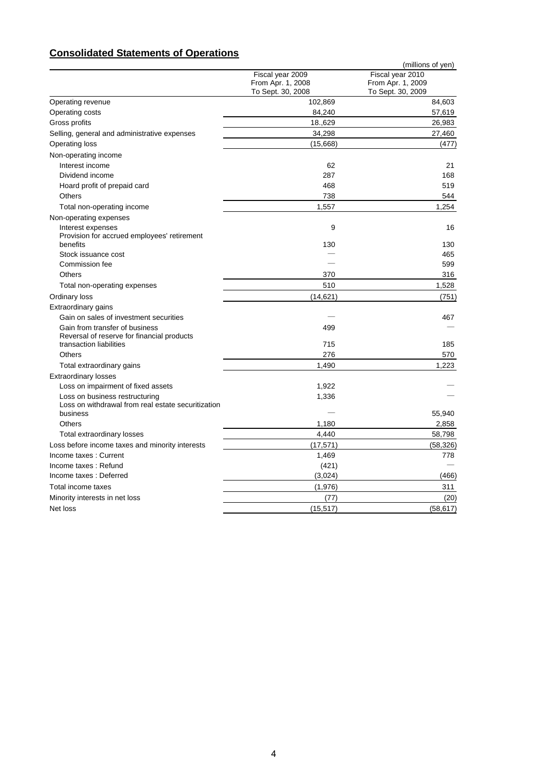# **Consolidated Statements of Operations**

|                                                                              |                                       | (millions of yen)                     |
|------------------------------------------------------------------------------|---------------------------------------|---------------------------------------|
|                                                                              | Fiscal year 2009<br>From Apr. 1, 2008 | Fiscal year 2010<br>From Apr. 1, 2009 |
|                                                                              | To Sept. 30, 2008                     | To Sept. 30, 2009                     |
| Operating revenue                                                            | 102,869                               | 84,603                                |
| Operating costs                                                              | 84,240                                | 57,619                                |
| Gross profits                                                                | 18.,629                               | 26,983                                |
| Selling, general and administrative expenses                                 | 34,298                                | 27,460                                |
| <b>Operating loss</b>                                                        | (15,668)                              | (477)                                 |
| Non-operating income                                                         |                                       |                                       |
| Interest income                                                              | 62                                    | 21                                    |
| Dividend income                                                              | 287                                   | 168                                   |
| Hoard profit of prepaid card                                                 | 468                                   | 519                                   |
| <b>Others</b>                                                                | 738                                   | 544                                   |
| Total non-operating income                                                   | 1,557                                 | 1,254                                 |
| Non-operating expenses                                                       |                                       |                                       |
| Interest expenses                                                            | 9                                     | 16                                    |
| Provision for accrued employees' retirement                                  |                                       |                                       |
| benefits                                                                     | 130                                   | 130                                   |
| Stock issuance cost                                                          |                                       | 465                                   |
| Commission fee                                                               |                                       | 599                                   |
| <b>Others</b>                                                                | 370                                   | 316                                   |
| Total non-operating expenses                                                 | 510                                   | 1,528                                 |
| Ordinary loss                                                                | (14, 621)                             | (751)                                 |
| Extraordinary gains                                                          |                                       |                                       |
| Gain on sales of investment securities                                       |                                       | 467                                   |
| Gain from transfer of business<br>Reversal of reserve for financial products | 499                                   |                                       |
| transaction liabilities                                                      | 715                                   | 185                                   |
| Others                                                                       | 276                                   | 570                                   |
| Total extraordinary gains                                                    | 1,490                                 | 1,223                                 |
| <b>Extraordinary losses</b>                                                  |                                       |                                       |
| Loss on impairment of fixed assets                                           | 1,922                                 |                                       |
| Loss on business restructuring                                               | 1,336                                 |                                       |
| Loss on withdrawal from real estate securitization                           |                                       |                                       |
| business<br>Others                                                           | 1,180                                 | 55,940                                |
|                                                                              | 4.440                                 | 2,858                                 |
| Total extraordinary losses                                                   |                                       | 58,798                                |
| Loss before income taxes and minority interests                              | (17, 571)                             | (58, 326)                             |
| Income taxes: Current                                                        | 1,469                                 | 778                                   |
| Income taxes: Refund                                                         | (421)                                 |                                       |
| Income taxes: Deferred                                                       | (3,024)                               | (466)                                 |
| Total income taxes                                                           | (1,976)                               | 311                                   |
| Minority interests in net loss                                               | (77)                                  | (20)                                  |
| Net loss                                                                     | (15, 517)                             | (58, 617)                             |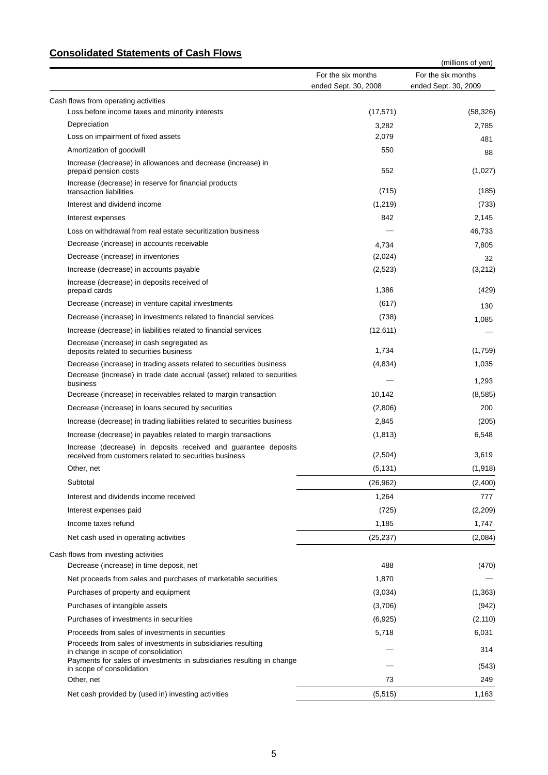## **Consolidated Statements of Cash Flows**

| טווטטווועמנט שעונטווטוונט טו טעטווי ווי זי                                                                                                                                   |                                            | (millions of yen)                          |  |  |
|------------------------------------------------------------------------------------------------------------------------------------------------------------------------------|--------------------------------------------|--------------------------------------------|--|--|
|                                                                                                                                                                              | For the six months<br>ended Sept. 30, 2008 | For the six months<br>ended Sept. 30, 2009 |  |  |
| Cash flows from operating activities                                                                                                                                         |                                            |                                            |  |  |
| Loss before income taxes and minority interests                                                                                                                              | (17, 571)                                  | (58, 326)                                  |  |  |
| Depreciation                                                                                                                                                                 | 3,282                                      | 2,785                                      |  |  |
| Loss on impairment of fixed assets                                                                                                                                           | 2,079                                      | 481                                        |  |  |
| Amortization of goodwill                                                                                                                                                     | 550                                        | 88                                         |  |  |
| Increase (decrease) in allowances and decrease (increase) in<br>prepaid pension costs                                                                                        | 552                                        | (1,027)                                    |  |  |
| Increase (decrease) in reserve for financial products<br>transaction liabilities                                                                                             | (715)                                      | (185)                                      |  |  |
| Interest and dividend income                                                                                                                                                 | (1,219)                                    | (733)                                      |  |  |
| Interest expenses                                                                                                                                                            | 842                                        | 2,145                                      |  |  |
| Loss on withdrawal from real estate securitization business                                                                                                                  |                                            | 46,733                                     |  |  |
| Decrease (increase) in accounts receivable                                                                                                                                   | 4,734                                      | 7,805                                      |  |  |
| Decrease (increase) in inventories                                                                                                                                           | (2,024)                                    | 32                                         |  |  |
| Increase (decrease) in accounts payable                                                                                                                                      | (2,523)                                    | (3,212)                                    |  |  |
| Increase (decrease) in deposits received of<br>prepaid cards                                                                                                                 | 1,386                                      | (429)                                      |  |  |
| Decrease (increase) in venture capital investments                                                                                                                           | (617)                                      | 130                                        |  |  |
| Decrease (increase) in investments related to financial services                                                                                                             | (738)                                      | 1,085                                      |  |  |
| Increase (decrease) in liabilities related to financial services                                                                                                             | (12.611)                                   |                                            |  |  |
| Decrease (increase) in cash segregated as<br>deposits related to securities business                                                                                         | 1,734                                      | (1,759)                                    |  |  |
| Decrease (increase) in trading assets related to securities business                                                                                                         | (4,834)                                    | 1,035                                      |  |  |
| Decrease (increase) in trade date accrual (asset) related to securities<br>business                                                                                          |                                            | 1,293                                      |  |  |
| Decrease (increase) in receivables related to margin transaction                                                                                                             | 10,142                                     | (8,585)                                    |  |  |
| Decrease (increase) in loans secured by securities                                                                                                                           | (2,806)                                    | 200                                        |  |  |
| Increase (decrease) in trading liabilities related to securities business                                                                                                    | 2,845                                      | (205)                                      |  |  |
| Increase (decrease) in payables related to margin transactions                                                                                                               | (1, 813)                                   | 6,548                                      |  |  |
| Increase (decrease) in deposits received and guarantee deposits<br>received from customers related to securities business                                                    | (2,504)                                    | 3,619                                      |  |  |
| Other, net                                                                                                                                                                   | (5, 131)                                   | (1,918)                                    |  |  |
| Subtotal                                                                                                                                                                     | (26, 962)                                  | (2,400)                                    |  |  |
| Interest and dividends income received                                                                                                                                       | 1,264                                      | 777                                        |  |  |
| Interest expenses paid                                                                                                                                                       | (725)                                      | (2,209)                                    |  |  |
| Income taxes refund                                                                                                                                                          | 1,185                                      | 1,747                                      |  |  |
| Net cash used in operating activities                                                                                                                                        | (25, 237)                                  | (2,084)                                    |  |  |
| Cash flows from investing activities                                                                                                                                         |                                            |                                            |  |  |
| Decrease (increase) in time deposit, net                                                                                                                                     | 488                                        | (470)                                      |  |  |
| Net proceeds from sales and purchases of marketable securities                                                                                                               | 1,870                                      |                                            |  |  |
| Purchases of property and equipment                                                                                                                                          | (3,034)                                    | (1,363)                                    |  |  |
| Purchases of intangible assets                                                                                                                                               | (3,706)                                    | (942)                                      |  |  |
| Purchases of investments in securities                                                                                                                                       | (6,925)                                    | (2, 110)                                   |  |  |
| Proceeds from sales of investments in securities                                                                                                                             | 5,718                                      | 6,031                                      |  |  |
| Proceeds from sales of investments in subsidiaries resulting<br>in change in scope of consolidation<br>Payments for sales of investments in subsidiaries resulting in change |                                            | 314                                        |  |  |
| in scope of consolidation                                                                                                                                                    |                                            | (543)                                      |  |  |
| Other, net                                                                                                                                                                   | 73                                         | 249                                        |  |  |
| Net cash provided by (used in) investing activities                                                                                                                          | (5, 515)                                   | 1,163                                      |  |  |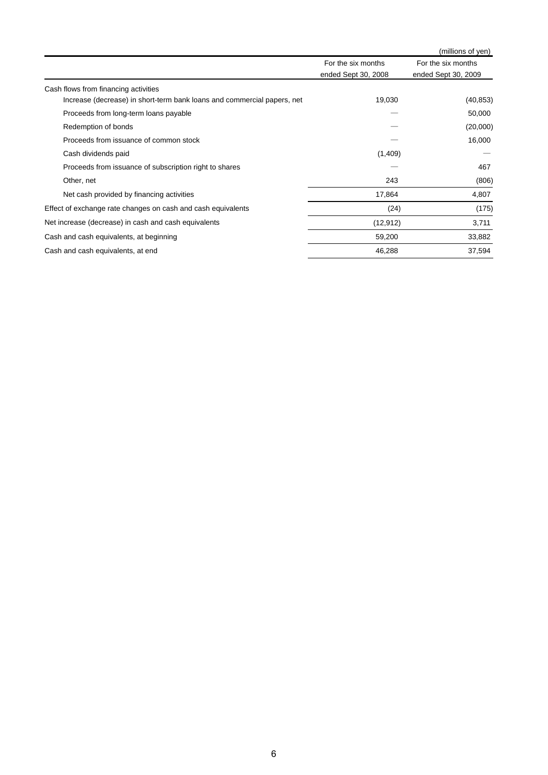|                                                                         |                                           | (millions of yen)                         |
|-------------------------------------------------------------------------|-------------------------------------------|-------------------------------------------|
|                                                                         | For the six months<br>ended Sept 30, 2008 | For the six months<br>ended Sept 30, 2009 |
| Cash flows from financing activities                                    |                                           |                                           |
| Increase (decrease) in short-term bank loans and commercial papers, net | 19,030                                    | (40, 853)                                 |
| Proceeds from long-term loans payable                                   |                                           | 50,000                                    |
| Redemption of bonds                                                     |                                           | (20,000)                                  |
| Proceeds from issuance of common stock                                  |                                           | 16,000                                    |
| Cash dividends paid                                                     | (1,409)                                   |                                           |
| Proceeds from issuance of subscription right to shares                  |                                           | 467                                       |
| Other, net                                                              | 243                                       | (806)                                     |
| Net cash provided by financing activities                               | 17,864                                    | 4,807                                     |
| Effect of exchange rate changes on cash and cash equivalents            | (24)                                      | (175)                                     |
| Net increase (decrease) in cash and cash equivalents                    | (12, 912)                                 | 3,711                                     |
| Cash and cash equivalents, at beginning                                 | 59,200                                    | 33,882                                    |
| Cash and cash equivalents, at end                                       | 46,288                                    | 37,594                                    |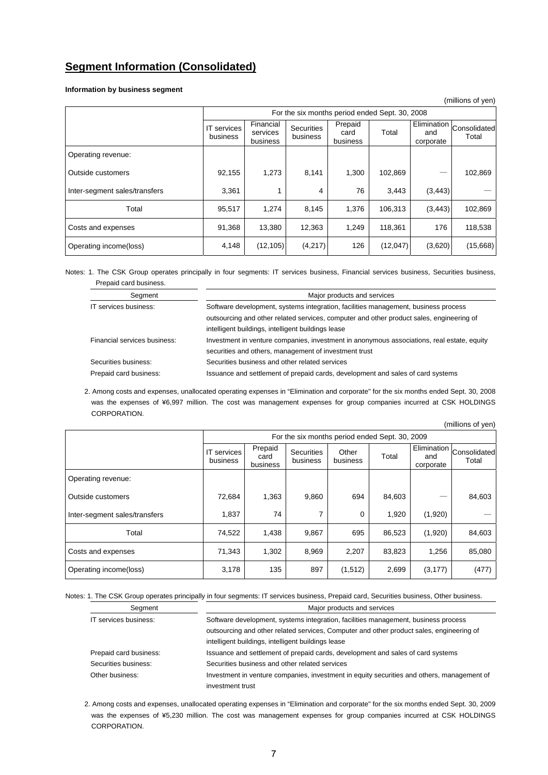## **Segment Information (Consolidated)**

**Information by business segment** 

|                               |                                |                                                |                               |                             |          |                  | (millions of yen)                 |
|-------------------------------|--------------------------------|------------------------------------------------|-------------------------------|-----------------------------|----------|------------------|-----------------------------------|
|                               |                                | For the six months period ended Sept. 30, 2008 |                               |                             |          |                  |                                   |
|                               | <b>IT</b> services<br>business | Financial<br>services<br>business              | <b>Securities</b><br>business | Prepaid<br>card<br>business | Total    | and<br>corporate | Elimination Consolidated<br>Total |
| Operating revenue:            |                                |                                                |                               |                             |          |                  |                                   |
| Outside customers             | 92,155                         | 1,273                                          | 8,141                         | 1,300                       | 102,869  |                  | 102,869                           |
| Inter-segment sales/transfers | 3,361                          | 1                                              | 4                             | 76                          | 3,443    | (3, 443)         |                                   |
| Total                         | 95,517                         | 1.274                                          | 8,145                         | 1.376                       | 106,313  | (3, 443)         | 102,869                           |
| Costs and expenses            | 91,368                         | 13,380                                         | 12,363                        | 1,249                       | 118,361  | 176              | 118,538                           |
| Operating income(loss)        | 4,148                          | (12, 105)                                      | (4,217)                       | 126                         | (12,047) | (3,620)          | (15,668)                          |

Notes: 1. The CSK Group operates principally in four segments: IT services business, Financial services business, Securities business, Prepaid card business. 

| Segment                      | Major products and services                                                                |
|------------------------------|--------------------------------------------------------------------------------------------|
| IT services business:        | Software development, systems integration, facilities management, business process         |
|                              | outsourcing and other related services, computer and other product sales, engineering of   |
|                              | intelligent buildings, intelligent buildings lease                                         |
| Financial services business: | Investment in venture companies, investment in anonymous associations, real estate, equity |
|                              | securities and others, management of investment trust                                      |
| Securities business:         | Securities business and other related services                                             |
| Prepaid card business:       | Issuance and settlement of prepaid cards, development and sales of card systems            |
|                              |                                                                                            |

2. Among costs and expenses, unallocated operating expenses in "Elimination and corporate" for the six months ended Sept. 30, 2008 was the expenses of ¥6,997 million. The cost was management expenses for group companies incurred at CSK HOLDINGS CORPORATION.

| (millions of yen)             |                                                |                             |                               |                   |        |                                        |                       |  |
|-------------------------------|------------------------------------------------|-----------------------------|-------------------------------|-------------------|--------|----------------------------------------|-----------------------|--|
|                               | For the six months period ended Sept. 30, 2009 |                             |                               |                   |        |                                        |                       |  |
|                               | <b>IT</b> services<br>business                 | Prepaid<br>card<br>business | <b>Securities</b><br>business | Other<br>business | Total  | <b>Elimination</b><br>and<br>corporate | Consolidated<br>Total |  |
| Operating revenue:            |                                                |                             |                               |                   |        |                                        |                       |  |
| Outside customers             | 72,684                                         | 1,363                       | 9,860                         | 694               | 84,603 |                                        | 84,603                |  |
| Inter-segment sales/transfers | 1,837                                          | 74                          | 7                             | 0                 | 1,920  | (1,920)                                |                       |  |
| Total                         | 74,522                                         | 1,438                       | 9,867                         | 695               | 86,523 | (1,920)                                | 84,603                |  |
| Costs and expenses            | 71,343                                         | 1,302                       | 8,969                         | 2,207             | 83,823 | 1,256                                  | 85,080                |  |
| Operating income(loss)        | 3,178                                          | 135                         | 897                           | (1,512)           | 2,699  | (3, 177)                               | (477)                 |  |

Notes: 1. The CSK Group operates principally in four segments: IT services business, Prepaid card, Securities business, Other business.

| Seament                | Major products and services                                                                |  |  |  |  |
|------------------------|--------------------------------------------------------------------------------------------|--|--|--|--|
| IT services business:  | Software development, systems integration, facilities management, business process         |  |  |  |  |
|                        | outsourcing and other related services, Computer and other product sales, engineering of   |  |  |  |  |
|                        | intelligent buildings, intelligent buildings lease                                         |  |  |  |  |
| Prepaid card business: | Issuance and settlement of prepaid cards, development and sales of card systems            |  |  |  |  |
| Securities business:   | Securities business and other related services                                             |  |  |  |  |
| Other business:        | Investment in venture companies, investment in equity securities and others, management of |  |  |  |  |
|                        | investment trust                                                                           |  |  |  |  |

2. Among costs and expenses, unallocated operating expenses in "Elimination and corporate" for the six months ended Sept. 30, 2009 was the expenses of ¥5,230 million. The cost was management expenses for group companies incurred at CSK HOLDINGS CORPORATION.